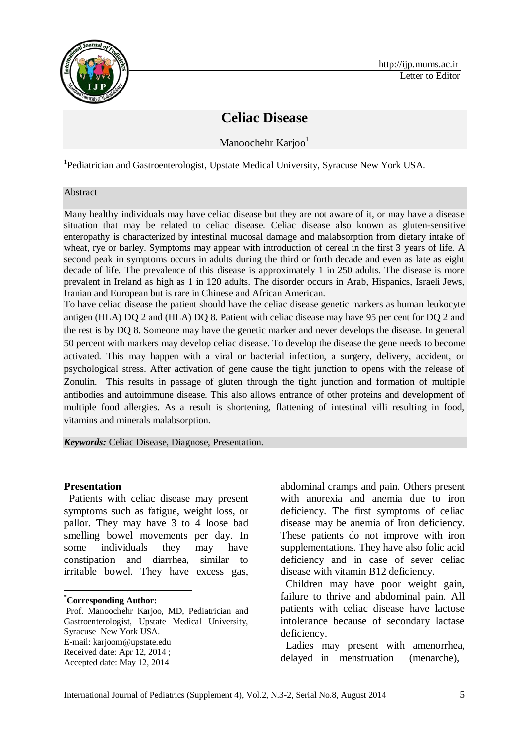

# **Celiac Disease**

Manoochehr Karjoo<sup>1</sup>

<sup>1</sup>Pediatrician and Gastroenterologist, Upstate Medical University, Syracuse New York USA.

#### Abstract

Many healthy individuals may have celiac disease but they are not aware of it, or may have a disease situation that may be related to celiac disease. Celiac disease also known as gluten-sensitive enteropathy is characterized by intestinal mucosal damage and malabsorption from dietary intake of wheat, rye or barley. Symptoms may appear with introduction of cereal in the first 3 years of life. A second peak in symptoms occurs in adults during the third or forth decade and even as late as eight decade of life. The prevalence of this disease is approximately 1 in 250 adults. The disease is more prevalent in Ireland as high as 1 in 120 adults. The disorder occurs in Arab, Hispanics, Israeli Jews, Iranian and European but is rare in Chinese and African American.

To have celiac disease the patient should have the celiac disease genetic markers as human leukocyte antigen (HLA) DQ 2 and (HLA) DQ 8. Patient with celiac disease may have 95 per cent for DQ 2 and the rest is by DQ 8. Someone may have the genetic marker and never develops the disease. In general 50 percent with markers may develop celiac disease. To develop the disease the gene needs to become activated. This may happen with a viral or bacterial infection, a surgery, delivery, accident, or psychological stress. After activation of gene cause the tight junction to opens with the release of Zonulin. This results in passage of gluten through the tight junction and formation of multiple antibodies and autoimmune disease. This also allows entrance of other proteins and development of multiple food allergies. As a result is shortening, flattening of intestinal villi resulting in food, vitamins and minerals malabsorption.

*Keywords:* Celiac Disease, Diagnose, Presentation.

#### **Presentation**\*

Patients with celiac disease may present symptoms such as fatigue, weight loss, or pallor. They may have 3 to 4 loose bad smelling bowel movements per day. In some individuals they may have constipation and diarrhea, similar to irritable bowel. They have excess gas,

**\*Corresponding Author:**

1

abdominal cramps and pain. Others present with anorexia and anemia due to iron deficiency. The first symptoms of celiac disease may be anemia of Iron deficiency. These patients do not improve with iron supplementations. They have also folic acid deficiency and in case of sever celiac disease with vitamin B12 deficiency.

Children may have poor weight gain, failure to thrive and abdominal pain. All patients with celiac disease have lactose intolerance because of secondary lactase deficiency.

Ladies may present with amenorrhea, delayed in menstruation (menarche),

Prof. Manoochehr Karjoo, MD, Pediatrician and Gastroenterologist, Upstate Medical University, Syracuse New York USA. E-mail[: karjoom@upstate.edu](mailto:karjoom@upstate.edu) Received date: Apr 12, 2014 ;

Accepted date: May 12, 2014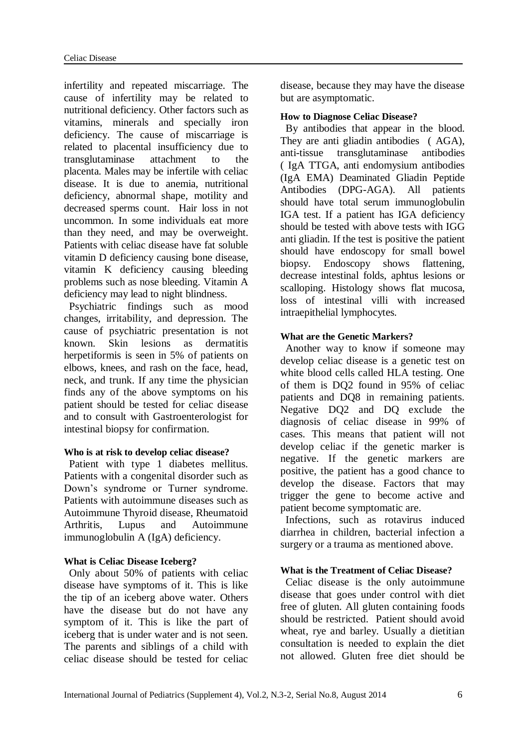infertility and repeated miscarriage. The cause of infertility may be related to nutritional deficiency. Other factors such as vitamins, minerals and specially iron deficiency. The cause of miscarriage is related to placental insufficiency due to transglutaminase attachment to the placenta. Males may be infertile with celiac disease. It is due to anemia, nutritional deficiency, abnormal shape, motility and decreased sperms count. Hair loss in not uncommon. In some individuals eat more than they need, and may be overweight. Patients with celiac disease have fat soluble vitamin D deficiency causing bone disease, vitamin K deficiency causing bleeding problems such as nose bleeding. Vitamin A deficiency may lead to night blindness.

Psychiatric findings such as mood changes, irritability, and depression. The cause of psychiatric presentation is not known. Skin lesions as dermatitis herpetiformis is seen in 5% of patients on elbows, knees, and rash on the face, head, neck, and trunk. If any time the physician finds any of the above symptoms on his patient should be tested for celiac disease and to consult with Gastroenterologist for intestinal biopsy for confirmation.

# **Who is at risk to develop celiac disease?**

Patient with type 1 diabetes mellitus. Patients with a congenital disorder such as Down's syndrome or Turner syndrome. Patients with autoimmune diseases such as Autoimmune Thyroid disease, Rheumatoid Arthritis, Lupus and Autoimmune immunoglobulin A (IgA) deficiency.

# **What is Celiac Disease Iceberg?**

Only about 50% of patients with celiac disease have symptoms of it. This is like the tip of an iceberg above water. Others have the disease but do not have any symptom of it. This is like the part of iceberg that is under water and is not seen. The parents and siblings of a child with celiac disease should be tested for celiac

disease, because they may have the disease but are asymptomatic.

## **How to Diagnose Celiac Disease?**

By antibodies that appear in the blood. They are anti gliadin antibodies ( AGA), anti-tissue transglutaminase antibodies ( IgA TTGA, anti endomysium antibodies (IgA EMA) Deaminated Gliadin Peptide Antibodies (DPG-AGA). All patients should have total serum immunoglobulin IGA test. If a patient has IGA deficiency should be tested with above tests with IGG anti gliadin. If the test is positive the patient should have endoscopy for small bowel biopsy. Endoscopy shows flattening, decrease intestinal folds, aphtus lesions or scalloping. Histology shows flat mucosa, loss of intestinal villi with increased intraepithelial lymphocytes.

# **What are the Genetic Markers?**

Another way to know if someone may develop celiac disease is a genetic test on white blood cells called HLA testing. One of them is DQ2 found in 95% of celiac patients and DQ8 in remaining patients. Negative DQ2 and DQ exclude the diagnosis of celiac disease in 99% of cases. This means that patient will not develop celiac if the genetic marker is negative. If the genetic markers are positive, the patient has a good chance to develop the disease. Factors that may trigger the gene to become active and patient become symptomatic are.

Infections, such as rotavirus induced diarrhea in children, bacterial infection a surgery or a trauma as mentioned above.

# **What is the Treatment of Celiac Disease?**

Celiac disease is the only autoimmune disease that goes under control with diet free of gluten. All gluten containing foods should be restricted. Patient should avoid wheat, rye and barley. Usually a dietitian consultation is needed to explain the diet not allowed. Gluten free diet should be